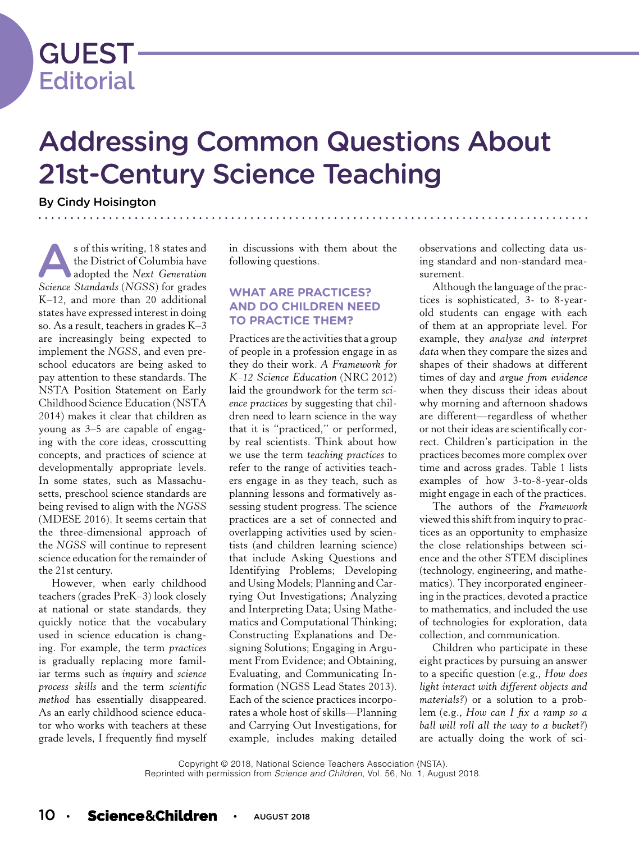# **GUEST Editorial**

# Addressing Common Questions About 21st-Century Science Teaching

By Cindy Hoisington

s of this writing, 18 states and the District of Columbia have adopted the *Next Generation Science Standards* (*NGSS*) for grades K–12, and more than 20 additional states have expressed interest in doing so. As a result, teachers in grades K–3 are increasingly being expected to implement the *NGSS*, and even preschool educators are being asked to pay attention to these standards. The NSTA Position Statement on Early Childhood Science Education (NSTA 2014) makes it clear that children as young as 3–5 are capable of engaging with the core ideas, crosscutting concepts, and practices of science at developmentally appropriate levels. In some states, such as Massachusetts, preschool science standards are being revised to align with the *NGSS* (MDESE 2016). It seems certain that the three-dimensional approach of the *NGSS* will continue to represent science education for the remainder of the 21st century.

However, when early childhood teachers (grades PreK–3) look closely at national or state standards, they quickly notice that the vocabulary used in science education is changing. For example, the term *practices* is gradually replacing more familiar terms such as *inquiry* and *science process skills* and the term *scientific method* has essentially disappeared. As an early childhood science educator who works with teachers at these grade levels, I frequently find myself in discussions with them about the following questions.

## **WHAT ARE PRACTICES? AND DO CHILDREN NEED TO PRACTICE THEM?**

Practices are the activities that a group of people in a profession engage in as they do their work. *A Framework for K–12 Science Education* (NRC 2012) laid the groundwork for the term *science practices* by suggesting that children need to learn science in the way that it is "practiced," or performed, by real scientists. Think about how we use the term *teaching practices* to refer to the range of activities teachers engage in as they teach, such as planning lessons and formatively assessing student progress. The science practices are a set of connected and overlapping activities used by scientists (and children learning science) that include Asking Questions and Identifying Problems; Developing and Using Models; Planning and Carrying Out Investigations; Analyzing and Interpreting Data; Using Mathematics and Computational Thinking; Constructing Explanations and Designing Solutions; Engaging in Argument From Evidence; and Obtaining, Evaluating, and Communicating Information (NGSS Lead States 2013). Each of the science practices incorporates a whole host of skills—Planning and Carrying Out Investigations, for example, includes making detailed

observations and collecting data using standard and non-standard measurement.

Although the language of the practices is sophisticated, 3- to 8-yearold students can engage with each of them at an appropriate level. For example, they *analyze and interpret data* when they compare the sizes and shapes of their shadows at different times of day and *argue from evidence* when they discuss their ideas about why morning and afternoon shadows are different—regardless of whether or not their ideas are scientifically correct. Children's participation in the practices becomes more complex over time and across grades. Table 1 lists examples of how 3-to-8-year-olds might engage in each of the practices.

The authors of the *Framework* viewed this shift from inquiry to practices as an opportunity to emphasize the close relationships between science and the other STEM disciplines (technology, engineering, and mathematics). They incorporated engineering in the practices, devoted a practice to mathematics, and included the use of technologies for exploration, data collection, and communication.

Children who participate in these eight practices by pursuing an answer to a specific question (e.g., *How does light interact with different objects and materials?*) or a solution to a problem (e.g., *How can I fix a ramp so a ball will roll all the way to a bucket?*) are actually doing the work of sci-

Copyright © 2018, National Science Teachers Association (NSTA). Reprinted with permission from *Science and Children*, Vol. 56, No. 1, August 2018.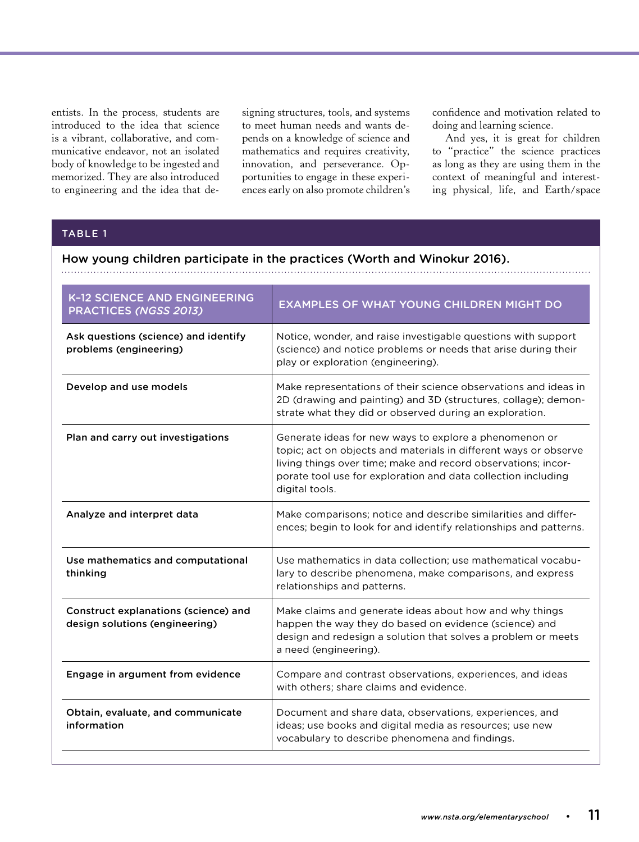entists. In the process, students are introduced to the idea that science is a vibrant, collaborative, and communicative endeavor, not an isolated body of knowledge to be ingested and memorized. They are also introduced to engineering and the idea that de-

signing structures, tools, and systems to meet human needs and wants depends on a knowledge of science and mathematics and requires creativity, innovation, and perseverance. Opportunities to engage in these experiences early on also promote children's confidence and motivation related to doing and learning science.

And yes, it is great for children to "practice" the science practices as long as they are using them in the context of meaningful and interesting physical, life, and Earth/space

#### TABLE 1

#### How young children participate in the practices (Worth and Winokur 2016).

| K-12 SCIENCE AND ENGINEERING<br>PRACTICES (NGSS 2013)                  | <b>EXAMPLES OF WHAT YOUNG CHILDREN MIGHT DO</b>                                                                                                                                                                                                                                |
|------------------------------------------------------------------------|--------------------------------------------------------------------------------------------------------------------------------------------------------------------------------------------------------------------------------------------------------------------------------|
| Ask questions (science) and identify<br>problems (engineering)         | Notice, wonder, and raise investigable questions with support<br>(science) and notice problems or needs that arise during their<br>play or exploration (engineering).                                                                                                          |
| Develop and use models                                                 | Make representations of their science observations and ideas in<br>2D (drawing and painting) and 3D (structures, collage); demon-<br>strate what they did or observed during an exploration.                                                                                   |
| Plan and carry out investigations                                      | Generate ideas for new ways to explore a phenomenon or<br>topic; act on objects and materials in different ways or observe<br>living things over time; make and record observations; incor-<br>porate tool use for exploration and data collection including<br>digital tools. |
| Analyze and interpret data                                             | Make comparisons; notice and describe similarities and differ-<br>ences; begin to look for and identify relationships and patterns.                                                                                                                                            |
| Use mathematics and computational<br>thinking                          | Use mathematics in data collection; use mathematical vocabu-<br>lary to describe phenomena, make comparisons, and express<br>relationships and patterns.                                                                                                                       |
| Construct explanations (science) and<br>design solutions (engineering) | Make claims and generate ideas about how and why things<br>happen the way they do based on evidence (science) and<br>design and redesign a solution that solves a problem or meets<br>a need (engineering).                                                                    |
| Engage in argument from evidence                                       | Compare and contrast observations, experiences, and ideas<br>with others; share claims and evidence.                                                                                                                                                                           |
| Obtain, evaluate, and communicate<br>information                       | Document and share data, observations, experiences, and<br>ideas; use books and digital media as resources; use new<br>vocabulary to describe phenomena and findings.                                                                                                          |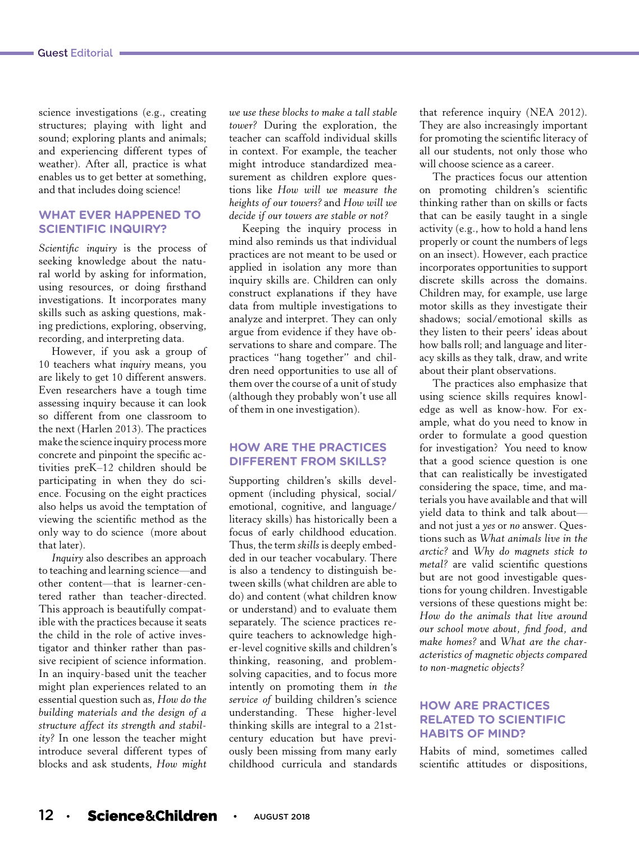science investigations (e.g., creating structures; playing with light and sound; exploring plants and animals; and experiencing different types of weather). After all, practice is what enables us to get better at something, and that includes doing science!

### **WHAT EVER HAPPENED TO SCIENTIFIC INQUIRY?**

*Scientific inquiry* is the process of seeking knowledge about the natural world by asking for information, using resources, or doing firsthand investigations. It incorporates many skills such as asking questions, making predictions, exploring, observing, recording, and interpreting data.

However, if you ask a group of 10 teachers what *inquiry* means, you are likely to get 10 different answers. Even researchers have a tough time assessing inquiry because it can look so different from one classroom to the next (Harlen 2013). The practices make the science inquiry process more concrete and pinpoint the specific activities preK–12 children should be participating in when they do science. Focusing on the eight practices also helps us avoid the temptation of viewing the scientific method as the only way to do science (more about that later).

*Inquiry* also describes an approach to teaching and learning science—and other content—that is learner-centered rather than teacher-directed. This approach is beautifully compatible with the practices because it seats the child in the role of active investigator and thinker rather than passive recipient of science information. In an inquiry-based unit the teacher might plan experiences related to an essential question such as, *How do the building materials and the design of a structure affect its strength and stability?* In one lesson the teacher might introduce several different types of blocks and ask students, *How might* 

*we use these blocks to make a tall stable tower?* During the exploration, the teacher can scaffold individual skills in context. For example, the teacher might introduce standardized measurement as children explore questions like *How will we measure the heights of our towers?* and *How will we decide if our towers are stable or not?*

Keeping the inquiry process in mind also reminds us that individual practices are not meant to be used or applied in isolation any more than inquiry skills are. Children can only construct explanations if they have data from multiple investigations to analyze and interpret. They can only argue from evidence if they have observations to share and compare. The practices "hang together" and children need opportunities to use all of them over the course of a unit of study (although they probably won't use all of them in one investigation).

### **HOW ARE THE PRACTICES DIFFERENT FROM SKILLS?**

Supporting children's skills development (including physical, social/ emotional, cognitive, and language/ literacy skills) has historically been a focus of early childhood education. Thus, the term *skills* is deeply embedded in our teacher vocabulary. There is also a tendency to distinguish between skills (what children are able to do) and content (what children know or understand) and to evaluate them separately. The science practices require teachers to acknowledge higher-level cognitive skills and children's thinking, reasoning, and problemsolving capacities, and to focus more intently on promoting them *in the service of* building children's science understanding. These higher-level thinking skills are integral to a 21stcentury education but have previously been missing from many early childhood curricula and standards

that reference inquiry (NEA 2012). They are also increasingly important for promoting the scientific literacy of all our students, not only those who will choose science as a career.

The practices focus our attention on promoting children's scientific thinking rather than on skills or facts that can be easily taught in a single activity (e.g., how to hold a hand lens properly or count the numbers of legs on an insect). However, each practice incorporates opportunities to support discrete skills across the domains. Children may, for example, use large motor skills as they investigate their shadows; social/emotional skills as they listen to their peers' ideas about how balls roll; and language and literacy skills as they talk, draw, and write about their plant observations.

The practices also emphasize that using science skills requires knowledge as well as know-how. For example, what do you need to know in order to formulate a good question for investigation? You need to know that a good science question is one that can realistically be investigated considering the space, time, and materials you have available and that will yield data to think and talk about and not just a *yes* or *no* answer. Questions such as *What animals live in the arctic?* and *Why do magnets stick to metal?* are valid scientific questions but are not good investigable questions for young children. Investigable versions of these questions might be: *How do the animals that live around our school move about, find food, and make homes?* and *What are the characteristics of magnetic objects compared to non-magnetic objects?* 

#### **HOW ARE PRACTICES RELATED TO SCIENTIFIC HABITS OF MIND?**

Habits of mind, sometimes called scientific attitudes or dispositions,